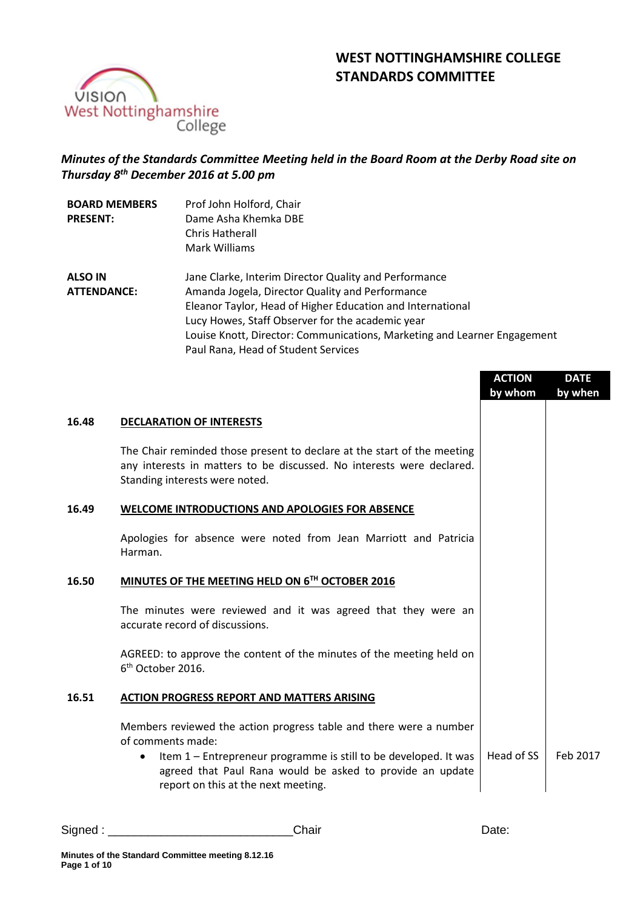# **WEST NOTTINGHAMSHIRE COLLEGE STANDARDS COMMITTEE**



## *Minutes of the Standards Committee Meeting held in the Board Room at the Derby Road site on Thursday 8th December 2016 at 5.00 pm*

| <b>BOARD MEMBERS</b><br><b>PRESENT:</b> | Prof John Holford, Chair<br>Dame Asha Khemka DBE<br>Chris Hatherall<br>Mark Williams                                                                                                                                                                                                                                                          |
|-----------------------------------------|-----------------------------------------------------------------------------------------------------------------------------------------------------------------------------------------------------------------------------------------------------------------------------------------------------------------------------------------------|
| <b>ALSO IN</b><br><b>ATTENDANCE:</b>    | Jane Clarke, Interim Director Quality and Performance<br>Amanda Jogela, Director Quality and Performance<br>Eleanor Taylor, Head of Higher Education and International<br>Lucy Howes, Staff Observer for the academic year<br>Louise Knott, Director: Communications, Marketing and Learner Engagement<br>Paul Rana, Head of Student Services |

|       |                                                                                                                                                                                                                                                                      | <b>ACTION</b><br>by whom | <b>DATE</b><br>by when |
|-------|----------------------------------------------------------------------------------------------------------------------------------------------------------------------------------------------------------------------------------------------------------------------|--------------------------|------------------------|
| 16.48 | <b>DECLARATION OF INTERESTS</b>                                                                                                                                                                                                                                      |                          |                        |
|       | The Chair reminded those present to declare at the start of the meeting<br>any interests in matters to be discussed. No interests were declared.<br>Standing interests were noted.                                                                                   |                          |                        |
| 16.49 | <b>WELCOME INTRODUCTIONS AND APOLOGIES FOR ABSENCE</b>                                                                                                                                                                                                               |                          |                        |
|       | Apologies for absence were noted from Jean Marriott and Patricia<br>Harman.                                                                                                                                                                                          |                          |                        |
| 16.50 | MINUTES OF THE MEETING HELD ON 6TH OCTOBER 2016                                                                                                                                                                                                                      |                          |                        |
|       | The minutes were reviewed and it was agreed that they were an<br>accurate record of discussions.                                                                                                                                                                     |                          |                        |
|       | AGREED: to approve the content of the minutes of the meeting held on<br>6 <sup>th</sup> October 2016.                                                                                                                                                                |                          |                        |
| 16.51 | <b>ACTION PROGRESS REPORT AND MATTERS ARISING</b>                                                                                                                                                                                                                    |                          |                        |
|       | Members reviewed the action progress table and there were a number<br>of comments made:<br>Item 1 - Entrepreneur programme is still to be developed. It was<br>٠<br>agreed that Paul Rana would be asked to provide an update<br>report on this at the next meeting. | Head of SS               | Feb 2017               |

Signed : \_\_\_\_\_\_\_\_\_\_\_\_\_\_\_\_\_\_\_\_\_\_\_\_\_\_\_\_Chair Date: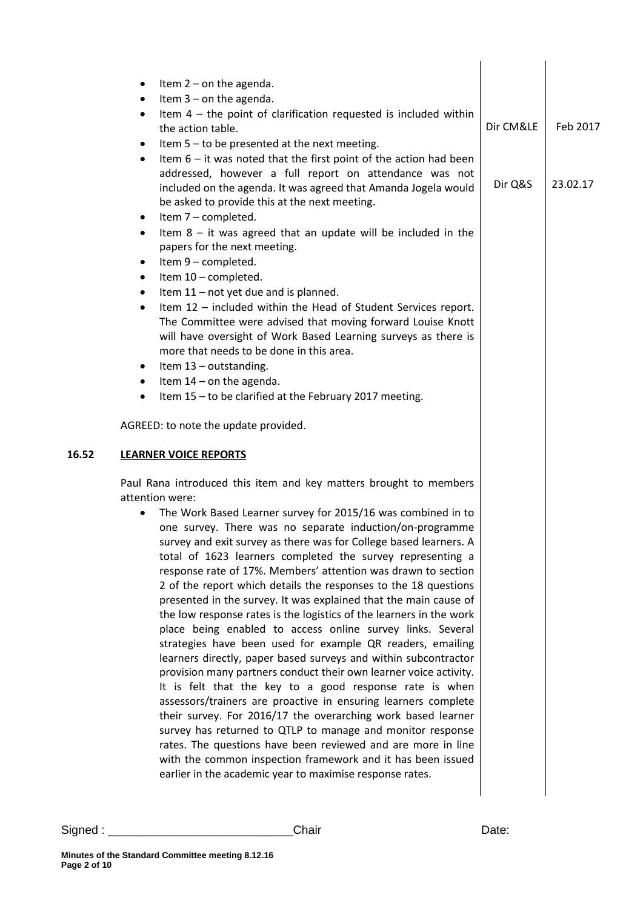|       | Item $2$ – on the agenda.<br>٠                                                                                          |           |          |
|-------|-------------------------------------------------------------------------------------------------------------------------|-----------|----------|
|       | Item $3$ – on the agenda.                                                                                               |           |          |
|       | Item $4$ – the point of clarification requested is included within<br>٠                                                 |           |          |
|       | the action table.                                                                                                       | Dir CM&LE | Feb 2017 |
|       | Item $5 -$ to be presented at the next meeting.<br>$\bullet$                                                            |           |          |
|       | Item $6 - it$ was noted that the first point of the action had been<br>$\bullet$                                        |           |          |
|       | addressed, however a full report on attendance was not                                                                  |           |          |
|       | included on the agenda. It was agreed that Amanda Jogela would                                                          | Dir Q&S   | 23.02.17 |
|       | be asked to provide this at the next meeting.                                                                           |           |          |
|       | Item 7 - completed.<br>٠                                                                                                |           |          |
|       | Item $8$ – it was agreed that an update will be included in the<br>٠                                                    |           |          |
|       | papers for the next meeting.                                                                                            |           |          |
|       | Item 9 - completed.<br>٠                                                                                                |           |          |
|       | Item 10 - completed.<br>٠                                                                                               |           |          |
|       | Item 11 - not yet due and is planned.<br>$\bullet$                                                                      |           |          |
|       | Item 12 - included within the Head of Student Services report.<br>$\bullet$                                             |           |          |
|       | The Committee were advised that moving forward Louise Knott                                                             |           |          |
|       | will have oversight of Work Based Learning surveys as there is                                                          |           |          |
|       | more that needs to be done in this area.                                                                                |           |          |
|       | Item 13 - outstanding.<br>٠<br>Item $14$ – on the agenda.                                                               |           |          |
|       | ٠<br>Item 15 - to be clarified at the February 2017 meeting.<br>$\bullet$                                               |           |          |
|       |                                                                                                                         |           |          |
|       | AGREED: to note the update provided.                                                                                    |           |          |
| 16.52 | <b>LEARNER VOICE REPORTS</b>                                                                                            |           |          |
|       | Paul Rana introduced this item and key matters brought to members                                                       |           |          |
|       | attention were:                                                                                                         |           |          |
|       | The Work Based Learner survey for 2015/16 was combined in to                                                            |           |          |
|       | one survey. There was no separate induction/on-programme                                                                |           |          |
|       | survey and exit survey as there was for College based learners. A                                                       |           |          |
|       | total of 1623 learners completed the survey representing a                                                              |           |          |
|       | response rate of 17%. Members' attention was drawn to section                                                           |           |          |
|       | 2 of the report which details the responses to the 18 questions                                                         |           |          |
|       | presented in the survey. It was explained that the main cause of                                                        |           |          |
|       | the low response rates is the logistics of the learners in the work                                                     |           |          |
|       | place being enabled to access online survey links. Several                                                              |           |          |
|       | strategies have been used for example QR readers, emailing                                                              |           |          |
|       | learners directly, paper based surveys and within subcontractor                                                         |           |          |
|       | provision many partners conduct their own learner voice activity.                                                       |           |          |
|       | It is felt that the key to a good response rate is when                                                                 |           |          |
|       | assessors/trainers are proactive in ensuring learners complete                                                          |           |          |
|       | their survey. For 2016/17 the overarching work based learner                                                            |           |          |
|       | survey has returned to QTLP to manage and monitor response                                                              |           |          |
|       | rates. The questions have been reviewed and are more in line                                                            |           |          |
|       | with the common inspection framework and it has been issued<br>earlier in the academic year to maximise response rates. |           |          |
|       |                                                                                                                         |           |          |
|       |                                                                                                                         |           |          |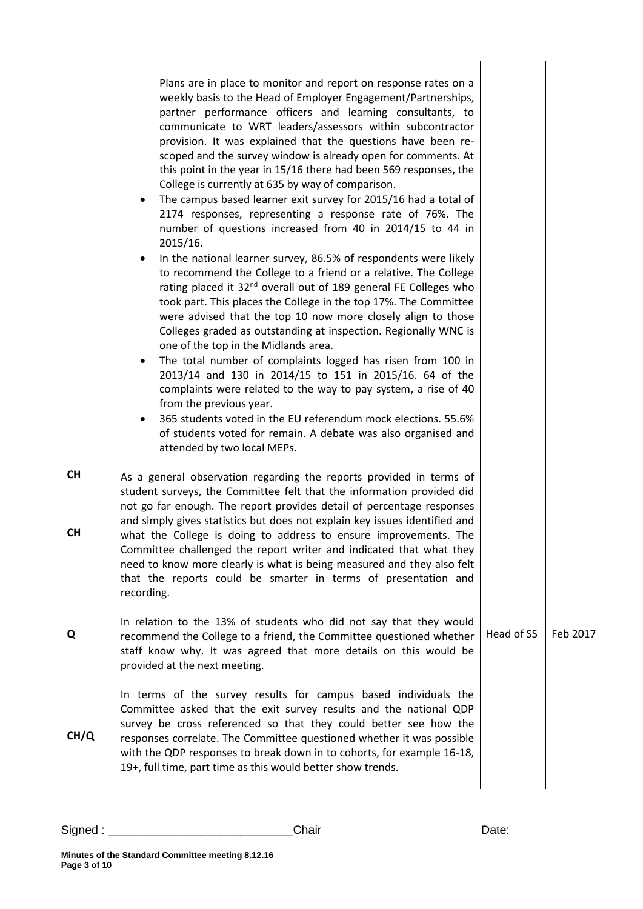Plans are in place to monitor and report on response rates on a weekly basis to the Head of Employer Engagement/Partnerships, partner performance officers and learning consultants, to communicate to WRT leaders/assessors within subcontractor provision. It was explained that the questions have been rescoped and the survey window is already open for comments. At this point in the year in 15/16 there had been 569 responses, the College is currently at 635 by way of comparison.

- The campus based learner exit survey for 2015/16 had a total of 2174 responses, representing a response rate of 76%. The number of questions increased from 40 in 2014/15 to 44 in 2015/16.
- In the national learner survey, 86.5% of respondents were likely to recommend the College to a friend or a relative. The College rating placed it 32<sup>nd</sup> overall out of 189 general FE Colleges who took part. This places the College in the top 17%. The Committee were advised that the top 10 now more closely align to those Colleges graded as outstanding at inspection. Regionally WNC is one of the top in the Midlands area.
- The total number of complaints logged has risen from 100 in 2013/14 and 130 in 2014/15 to 151 in 2015/16. 64 of the complaints were related to the way to pay system, a rise of 40 from the previous year.
- 365 students voted in the EU referendum mock elections. 55.6% of students voted for remain. A debate was also organised and attended by two local MEPs.
- **CH CH** As a general observation regarding the reports provided in terms of student surveys, the Committee felt that the information provided did not go far enough. The report provides detail of percentage responses and simply gives statistics but does not explain key issues identified and what the College is doing to address to ensure improvements. The Committee challenged the report writer and indicated that what they need to know more clearly is what is being measured and they also felt that the reports could be smarter in terms of presentation and recording.
- **Q** In relation to the 13% of students who did not say that they would recommend the College to a friend, the Committee questioned whether staff know why. It was agreed that more details on this would be provided at the next meeting. Head of SS  $\parallel$  Feb 2017

**CH/Q** In terms of the survey results for campus based individuals the Committee asked that the exit survey results and the national QDP survey be cross referenced so that they could better see how the responses correlate. The Committee questioned whether it was possible with the QDP responses to break down in to cohorts, for example 16-18, 19+, full time, part time as this would better show trends.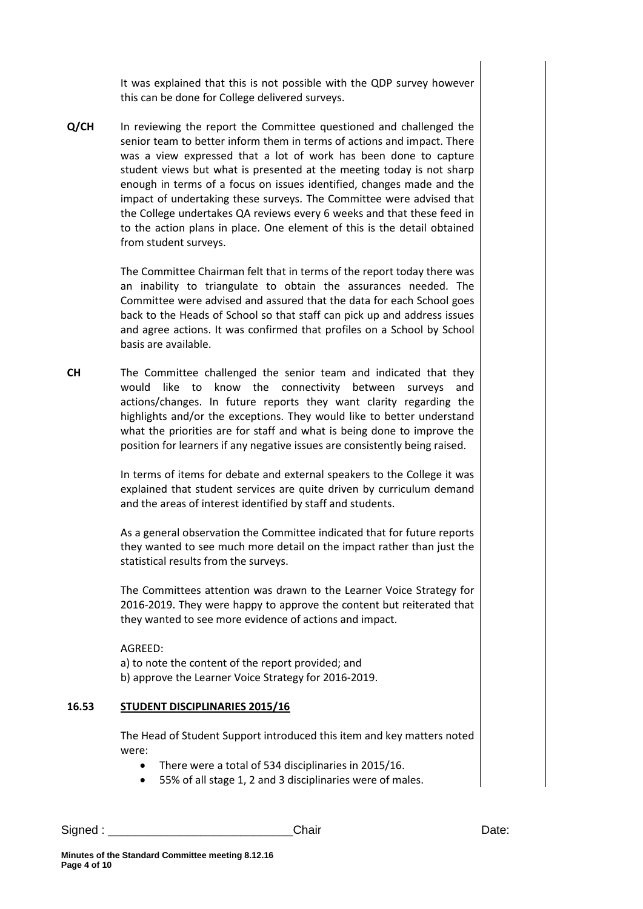It was explained that this is not possible with the QDP survey however this can be done for College delivered surveys.

**Q/CH** In reviewing the report the Committee questioned and challenged the senior team to better inform them in terms of actions and impact. There was a view expressed that a lot of work has been done to capture student views but what is presented at the meeting today is not sharp enough in terms of a focus on issues identified, changes made and the impact of undertaking these surveys. The Committee were advised that the College undertakes QA reviews every 6 weeks and that these feed in to the action plans in place. One element of this is the detail obtained from student surveys.

> The Committee Chairman felt that in terms of the report today there was an inability to triangulate to obtain the assurances needed. The Committee were advised and assured that the data for each School goes back to the Heads of School so that staff can pick up and address issues and agree actions. It was confirmed that profiles on a School by School basis are available.

**CH** The Committee challenged the senior team and indicated that they would like to know the connectivity between surveys and actions/changes. In future reports they want clarity regarding the highlights and/or the exceptions. They would like to better understand what the priorities are for staff and what is being done to improve the position for learners if any negative issues are consistently being raised.

> In terms of items for debate and external speakers to the College it was explained that student services are quite driven by curriculum demand and the areas of interest identified by staff and students.

> As a general observation the Committee indicated that for future reports they wanted to see much more detail on the impact rather than just the statistical results from the surveys.

> The Committees attention was drawn to the Learner Voice Strategy for 2016-2019. They were happy to approve the content but reiterated that they wanted to see more evidence of actions and impact.

AGREED: a) to note the content of the report provided; and b) approve the Learner Voice Strategy for 2016-2019.

#### **16.53 STUDENT DISCIPLINARIES 2015/16**

The Head of Student Support introduced this item and key matters noted were:

- There were a total of 534 disciplinaries in 2015/16.
- 55% of all stage 1, 2 and 3 disciplinaries were of males.

Signed : \_\_\_\_\_\_\_\_\_\_\_\_\_\_\_\_\_\_\_\_\_\_\_\_\_\_\_\_Chair Date: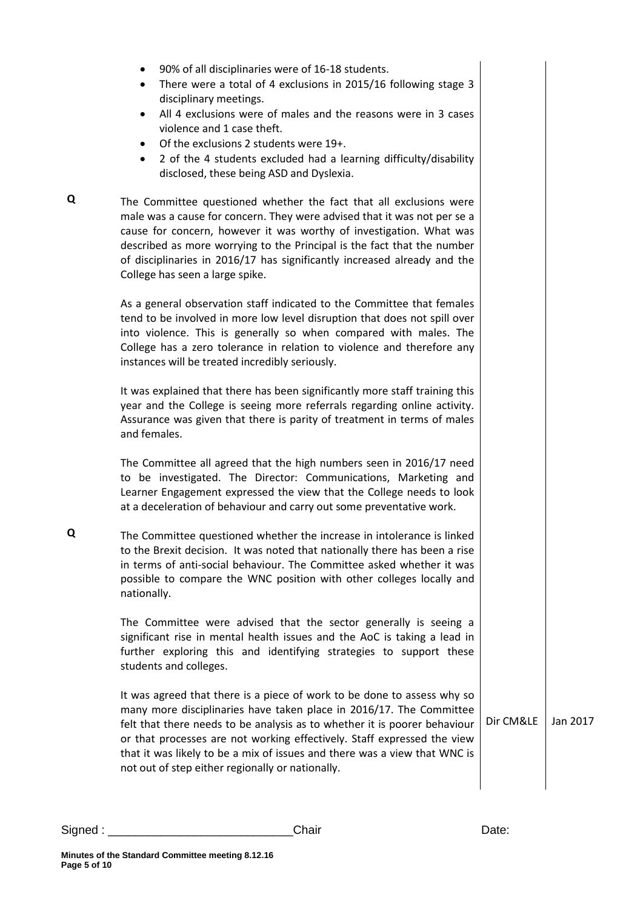- 90% of all disciplinaries were of 16-18 students.
- There were a total of 4 exclusions in 2015/16 following stage 3 disciplinary meetings.
- All 4 exclusions were of males and the reasons were in 3 cases violence and 1 case theft.
- Of the exclusions 2 students were 19+.
- 2 of the 4 students excluded had a learning difficulty/disability disclosed, these being ASD and Dyslexia.

**Q** The Committee questioned whether the fact that all exclusions were male was a cause for concern. They were advised that it was not per se a cause for concern, however it was worthy of investigation. What was described as more worrying to the Principal is the fact that the number of disciplinaries in 2016/17 has significantly increased already and the College has seen a large spike.

> As a general observation staff indicated to the Committee that females tend to be involved in more low level disruption that does not spill over into violence. This is generally so when compared with males. The College has a zero tolerance in relation to violence and therefore any instances will be treated incredibly seriously.

> It was explained that there has been significantly more staff training this year and the College is seeing more referrals regarding online activity. Assurance was given that there is parity of treatment in terms of males and females.

> The Committee all agreed that the high numbers seen in 2016/17 need to be investigated. The Director: Communications, Marketing and Learner Engagement expressed the view that the College needs to look at a deceleration of behaviour and carry out some preventative work.

**Q** The Committee questioned whether the increase in intolerance is linked to the Brexit decision. It was noted that nationally there has been a rise in terms of anti-social behaviour. The Committee asked whether it was possible to compare the WNC position with other colleges locally and nationally.

> The Committee were advised that the sector generally is seeing a significant rise in mental health issues and the AoC is taking a lead in further exploring this and identifying strategies to support these students and colleges.

> It was agreed that there is a piece of work to be done to assess why so many more disciplinaries have taken place in 2016/17. The Committee felt that there needs to be analysis as to whether it is poorer behaviour or that processes are not working effectively. Staff expressed the view that it was likely to be a mix of issues and there was a view that WNC is not out of step either regionally or nationally.

Dir CM&LE | Jan 2017

Signed : \_\_\_\_\_\_\_\_\_\_\_\_\_\_\_\_\_\_\_\_\_\_\_\_\_\_\_\_Chair Date: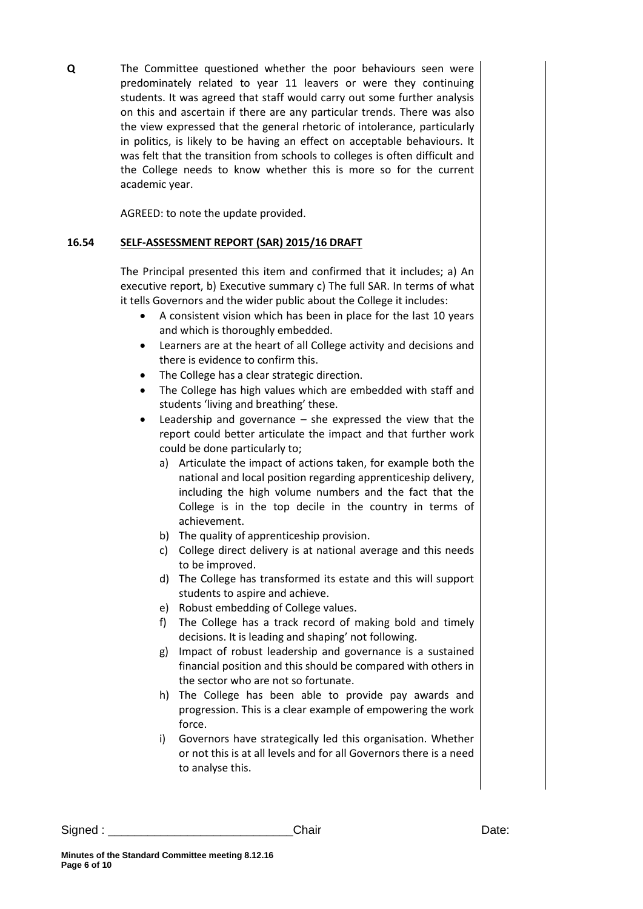**Q** The Committee questioned whether the poor behaviours seen were predominately related to year 11 leavers or were they continuing students. It was agreed that staff would carry out some further analysis on this and ascertain if there are any particular trends. There was also the view expressed that the general rhetoric of intolerance, particularly in politics, is likely to be having an effect on acceptable behaviours. It was felt that the transition from schools to colleges is often difficult and the College needs to know whether this is more so for the current academic year.

AGREED: to note the update provided.

## **16.54 SELF-ASSESSMENT REPORT (SAR) 2015/16 DRAFT**

The Principal presented this item and confirmed that it includes; a) An executive report, b) Executive summary c) The full SAR. In terms of what it tells Governors and the wider public about the College it includes:

- A consistent vision which has been in place for the last 10 years and which is thoroughly embedded.
- Learners are at the heart of all College activity and decisions and there is evidence to confirm this.
- The College has a clear strategic direction.
- The College has high values which are embedded with staff and students 'living and breathing' these.
- Leadership and governance she expressed the view that the report could better articulate the impact and that further work could be done particularly to;
	- a) Articulate the impact of actions taken, for example both the national and local position regarding apprenticeship delivery, including the high volume numbers and the fact that the College is in the top decile in the country in terms of achievement.
	- b) The quality of apprenticeship provision.
	- c) College direct delivery is at national average and this needs to be improved.
	- d) The College has transformed its estate and this will support students to aspire and achieve.
	- e) Robust embedding of College values.
	- f) The College has a track record of making bold and timely decisions. It is leading and shaping' not following.
	- g) Impact of robust leadership and governance is a sustained financial position and this should be compared with others in the sector who are not so fortunate.
	- h) The College has been able to provide pay awards and progression. This is a clear example of empowering the work force.
	- i) Governors have strategically led this organisation. Whether or not this is at all levels and for all Governors there is a need to analyse this.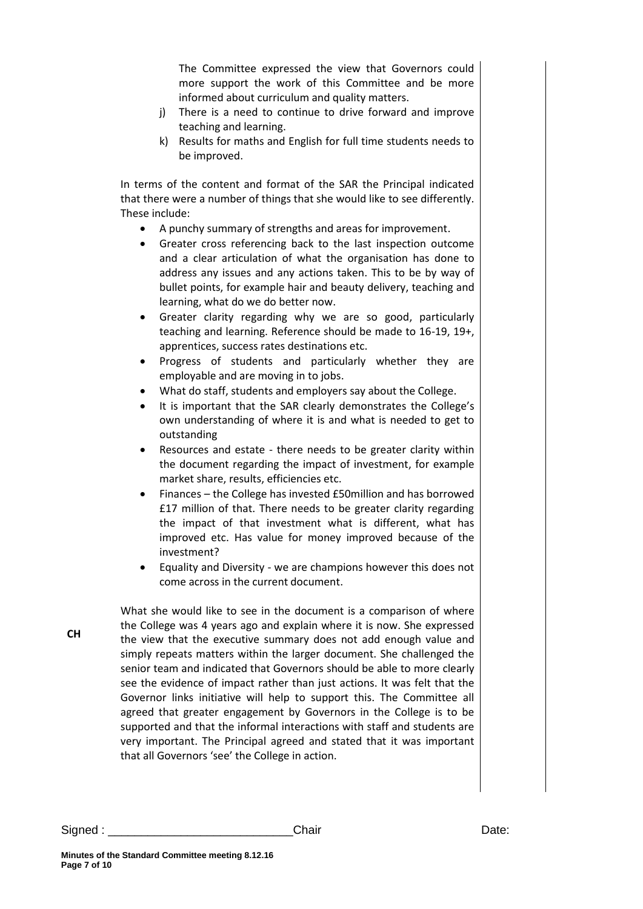The Committee expressed the view that Governors could more support the work of this Committee and be more informed about curriculum and quality matters.

- j) There is a need to continue to drive forward and improve teaching and learning.
- k) Results for maths and English for full time students needs to be improved.

In terms of the content and format of the SAR the Principal indicated that there were a number of things that she would like to see differently. These include:

- A punchy summary of strengths and areas for improvement.
- Greater cross referencing back to the last inspection outcome and a clear articulation of what the organisation has done to address any issues and any actions taken. This to be by way of bullet points, for example hair and beauty delivery, teaching and learning, what do we do better now.
- Greater clarity regarding why we are so good, particularly teaching and learning. Reference should be made to 16-19, 19+, apprentices, success rates destinations etc.
- Progress of students and particularly whether they are employable and are moving in to jobs.
- What do staff, students and employers say about the College.
- It is important that the SAR clearly demonstrates the College's own understanding of where it is and what is needed to get to outstanding
- Resources and estate there needs to be greater clarity within the document regarding the impact of investment, for example market share, results, efficiencies etc.
- Finances the College has invested £50million and has borrowed £17 million of that. There needs to be greater clarity regarding the impact of that investment what is different, what has improved etc. Has value for money improved because of the investment?
- Equality and Diversity we are champions however this does not come across in the current document.

What she would like to see in the document is a comparison of where the College was 4 years ago and explain where it is now. She expressed the view that the executive summary does not add enough value and simply repeats matters within the larger document. She challenged the senior team and indicated that Governors should be able to more clearly see the evidence of impact rather than just actions. It was felt that the Governor links initiative will help to support this. The Committee all agreed that greater engagement by Governors in the College is to be supported and that the informal interactions with staff and students are very important. The Principal agreed and stated that it was important that all Governors 'see' the College in action.

**CH**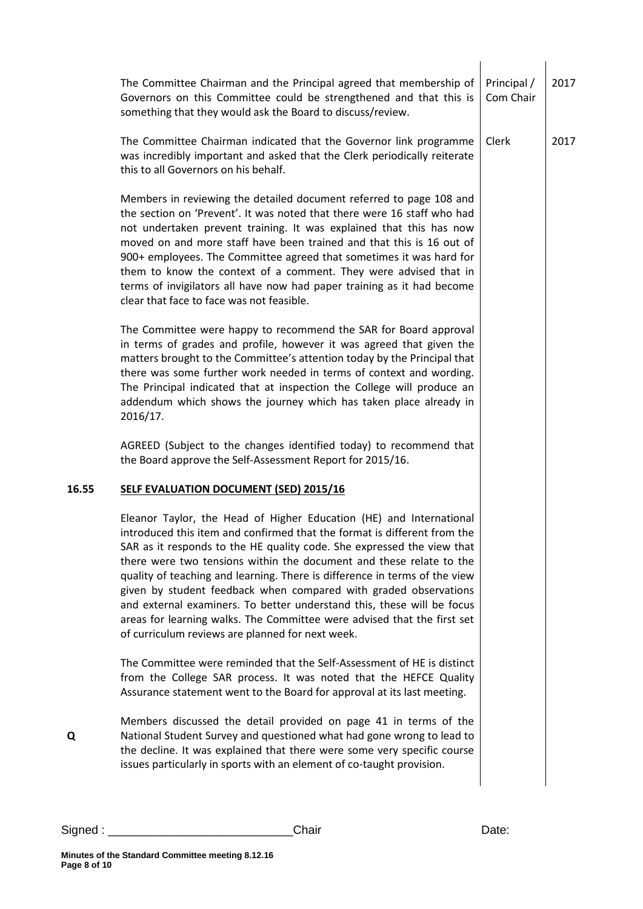|       | The Committee Chairman and the Principal agreed that membership of<br>Governors on this Committee could be strengthened and that this is<br>something that they would ask the Board to discuss/review.                                                                                                                                                                                                                                                                                                                                                                                                                                                      | Principal /<br>Com Chair | 2017 |
|-------|-------------------------------------------------------------------------------------------------------------------------------------------------------------------------------------------------------------------------------------------------------------------------------------------------------------------------------------------------------------------------------------------------------------------------------------------------------------------------------------------------------------------------------------------------------------------------------------------------------------------------------------------------------------|--------------------------|------|
|       | The Committee Chairman indicated that the Governor link programme<br>was incredibly important and asked that the Clerk periodically reiterate<br>this to all Governors on his behalf.                                                                                                                                                                                                                                                                                                                                                                                                                                                                       | Clerk                    | 2017 |
|       | Members in reviewing the detailed document referred to page 108 and<br>the section on 'Prevent'. It was noted that there were 16 staff who had<br>not undertaken prevent training. It was explained that this has now<br>moved on and more staff have been trained and that this is 16 out of<br>900+ employees. The Committee agreed that sometimes it was hard for<br>them to know the context of a comment. They were advised that in<br>terms of invigilators all have now had paper training as it had become<br>clear that face to face was not feasible.                                                                                             |                          |      |
|       | The Committee were happy to recommend the SAR for Board approval<br>in terms of grades and profile, however it was agreed that given the<br>matters brought to the Committee's attention today by the Principal that<br>there was some further work needed in terms of context and wording.<br>The Principal indicated that at inspection the College will produce an<br>addendum which shows the journey which has taken place already in<br>2016/17.                                                                                                                                                                                                      |                          |      |
|       | AGREED (Subject to the changes identified today) to recommend that<br>the Board approve the Self-Assessment Report for 2015/16.                                                                                                                                                                                                                                                                                                                                                                                                                                                                                                                             |                          |      |
| 16.55 | <b>SELF EVALUATION DOCUMENT (SED) 2015/16</b>                                                                                                                                                                                                                                                                                                                                                                                                                                                                                                                                                                                                               |                          |      |
|       | Eleanor Taylor, the Head of Higher Education (HE) and International<br>introduced this item and confirmed that the format is different from the<br>SAR as it responds to the HE quality code. She expressed the view that<br>there were two tensions within the document and these relate to the<br>quality of teaching and learning. There is difference in terms of the view<br>given by student feedback when compared with graded observations<br>and external examiners. To better understand this, these will be focus<br>areas for learning walks. The Committee were advised that the first set<br>of curriculum reviews are planned for next week. |                          |      |
|       | The Committee were reminded that the Self-Assessment of HE is distinct<br>from the College SAR process. It was noted that the HEFCE Quality<br>Assurance statement went to the Board for approval at its last meeting.                                                                                                                                                                                                                                                                                                                                                                                                                                      |                          |      |
| Q     | Members discussed the detail provided on page 41 in terms of the<br>National Student Survey and questioned what had gone wrong to lead to<br>the decline. It was explained that there were some very specific course<br>issues particularly in sports with an element of co-taught provision.                                                                                                                                                                                                                                                                                                                                                               |                          |      |
|       |                                                                                                                                                                                                                                                                                                                                                                                                                                                                                                                                                                                                                                                             |                          |      |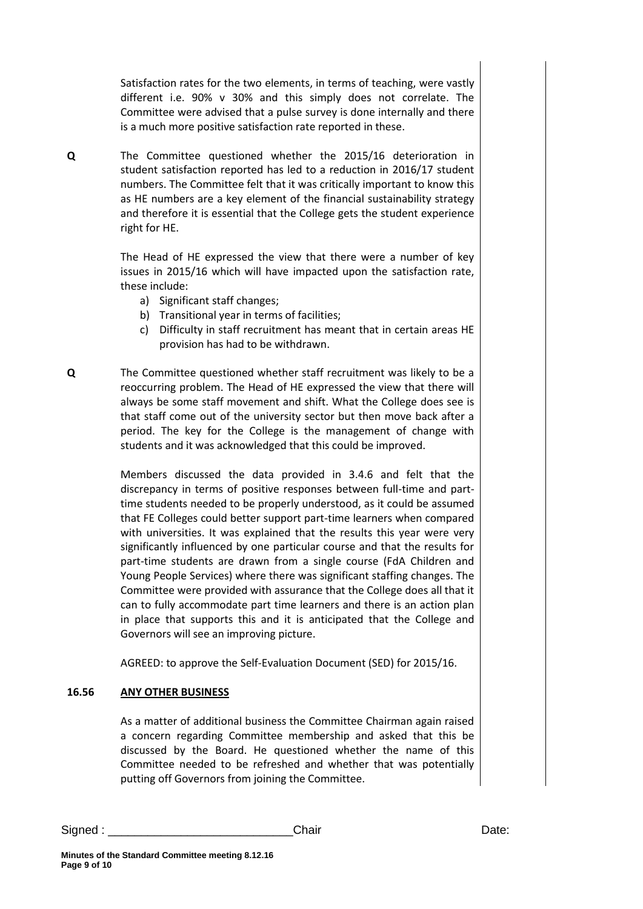Satisfaction rates for the two elements, in terms of teaching, were vastly different i.e. 90% v 30% and this simply does not correlate. The Committee were advised that a pulse survey is done internally and there is a much more positive satisfaction rate reported in these.

**Q** The Committee questioned whether the 2015/16 deterioration in student satisfaction reported has led to a reduction in 2016/17 student numbers. The Committee felt that it was critically important to know this as HE numbers are a key element of the financial sustainability strategy and therefore it is essential that the College gets the student experience right for HE.

> The Head of HE expressed the view that there were a number of key issues in 2015/16 which will have impacted upon the satisfaction rate, these include:

- a) Significant staff changes;
- b) Transitional year in terms of facilities;
- c) Difficulty in staff recruitment has meant that in certain areas HE provision has had to be withdrawn.
- **Q** The Committee questioned whether staff recruitment was likely to be a reoccurring problem. The Head of HE expressed the view that there will always be some staff movement and shift. What the College does see is that staff come out of the university sector but then move back after a period. The key for the College is the management of change with students and it was acknowledged that this could be improved.

Members discussed the data provided in 3.4.6 and felt that the discrepancy in terms of positive responses between full-time and parttime students needed to be properly understood, as it could be assumed that FE Colleges could better support part-time learners when compared with universities. It was explained that the results this year were very significantly influenced by one particular course and that the results for part-time students are drawn from a single course (FdA Children and Young People Services) where there was significant staffing changes. The Committee were provided with assurance that the College does all that it can to fully accommodate part time learners and there is an action plan in place that supports this and it is anticipated that the College and Governors will see an improving picture.

AGREED: to approve the Self-Evaluation Document (SED) for 2015/16.

#### **16.56 ANY OTHER BUSINESS**

As a matter of additional business the Committee Chairman again raised a concern regarding Committee membership and asked that this be discussed by the Board. He questioned whether the name of this Committee needed to be refreshed and whether that was potentially putting off Governors from joining the Committee.